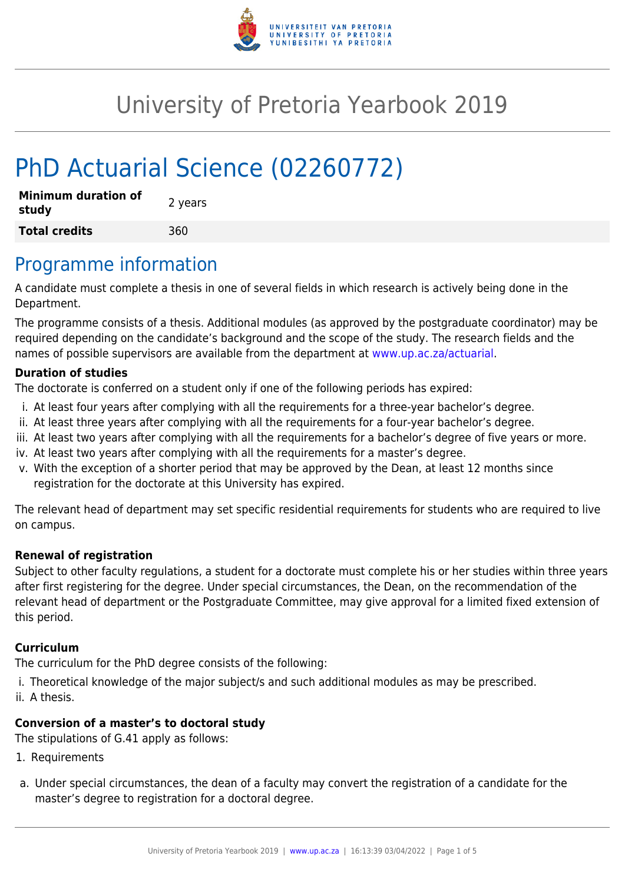

# University of Pretoria Yearbook 2019

# PhD Actuarial Science (02260772)

| <b>Minimum duration of</b><br>study | 2 years |
|-------------------------------------|---------|
| <b>Total credits</b>                | 360     |

### Programme information

A candidate must complete a thesis in one of several fields in which research is actively being done in the Department.

The programme consists of a thesis. Additional modules (as approved by the postgraduate coordinator) may be required depending on the candidate's background and the scope of the study. The research fields and the names of possible supervisors are available from the department at [www.up.ac.za/actuarial](http://www.up.ac.za/actuarial).

#### **Duration of studies**

The doctorate is conferred on a student only if one of the following periods has expired:

- i. At least four years after complying with all the requirements for a three-year bachelor's degree.
- ii. At least three years after complying with all the requirements for a four-year bachelor's degree.
- iii. At least two years after complying with all the requirements for a bachelor's degree of five years or more.
- iv. At least two years after complying with all the requirements for a master's degree.
- v. With the exception of a shorter period that may be approved by the Dean, at least 12 months since registration for the doctorate at this University has expired.

The relevant head of department may set specific residential requirements for students who are required to live on campus.

#### **Renewal of registration**

Subject to other faculty regulations, a student for a doctorate must complete his or her studies within three years after first registering for the degree. Under special circumstances, the Dean, on the recommendation of the relevant head of department or the Postgraduate Committee, may give approval for a limited fixed extension of this period.

#### **Curriculum**

The curriculum for the PhD degree consists of the following:

- i. Theoretical knowledge of the major subject/s and such additional modules as may be prescribed.
- ii. A thesis.

#### **Conversion of a master's to doctoral study**

The stipulations of G.41 apply as follows:

- 1. Requirements
- a. Under special circumstances, the dean of a faculty may convert the registration of a candidate for the master's degree to registration for a doctoral degree.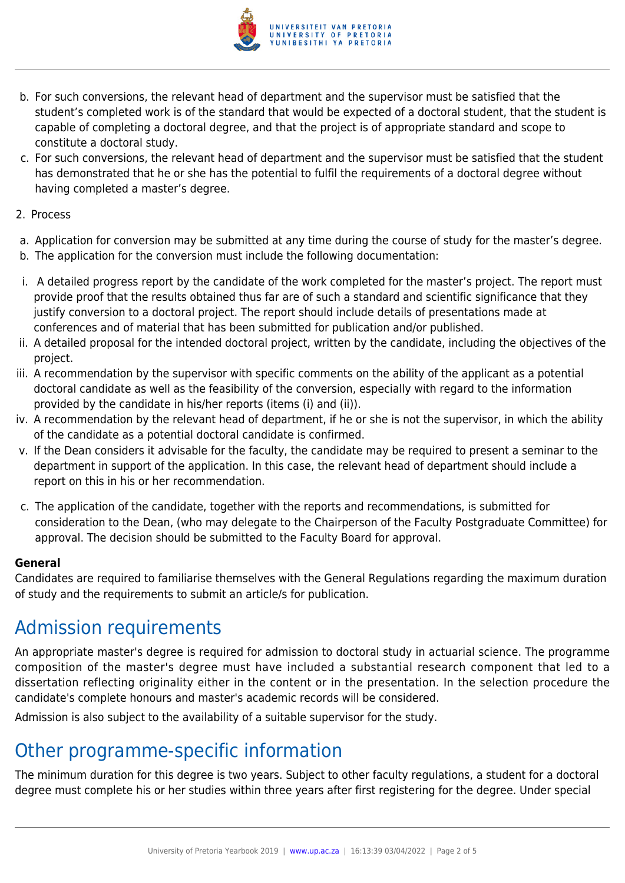

- b. For such conversions, the relevant head of department and the supervisor must be satisfied that the student's completed work is of the standard that would be expected of a doctoral student, that the student is capable of completing a doctoral degree, and that the project is of appropriate standard and scope to constitute a doctoral study.
- c. For such conversions, the relevant head of department and the supervisor must be satisfied that the student has demonstrated that he or she has the potential to fulfil the requirements of a doctoral degree without having completed a master's degree.
- 2. Process
- a. Application for conversion may be submitted at any time during the course of study for the master's degree.
- b. The application for the conversion must include the following documentation:
- i. A detailed progress report by the candidate of the work completed for the master's project. The report must provide proof that the results obtained thus far are of such a standard and scientific significance that they justify conversion to a doctoral project. The report should include details of presentations made at conferences and of material that has been submitted for publication and/or published.
- ii. A detailed proposal for the intended doctoral project, written by the candidate, including the objectives of the project.
- iii. A recommendation by the supervisor with specific comments on the ability of the applicant as a potential doctoral candidate as well as the feasibility of the conversion, especially with regard to the information provided by the candidate in his/her reports (items (i) and (ii)).
- iv. A recommendation by the relevant head of department, if he or she is not the supervisor, in which the ability of the candidate as a potential doctoral candidate is confirmed.
- v. If the Dean considers it advisable for the faculty, the candidate may be required to present a seminar to the department in support of the application. In this case, the relevant head of department should include a report on this in his or her recommendation.
- c. The application of the candidate, together with the reports and recommendations, is submitted for consideration to the Dean, (who may delegate to the Chairperson of the Faculty Postgraduate Committee) for approval. The decision should be submitted to the Faculty Board for approval.

#### **General**

Candidates are required to familiarise themselves with the General Regulations regarding the maximum duration of study and the requirements to submit an article/s for publication.

# Admission requirements

An appropriate master's degree is required for admission to doctoral study in actuarial science. The programme composition of the master's degree must have included a substantial research component that led to a dissertation reflecting originality either in the content or in the presentation. In the selection procedure the candidate's complete honours and master's academic records will be considered.

Admission is also subject to the availability of a suitable supervisor for the study.

### Other programme-specific information

The minimum duration for this degree is two years. Subject to other faculty regulations, a student for a doctoral degree must complete his or her studies within three years after first registering for the degree. Under special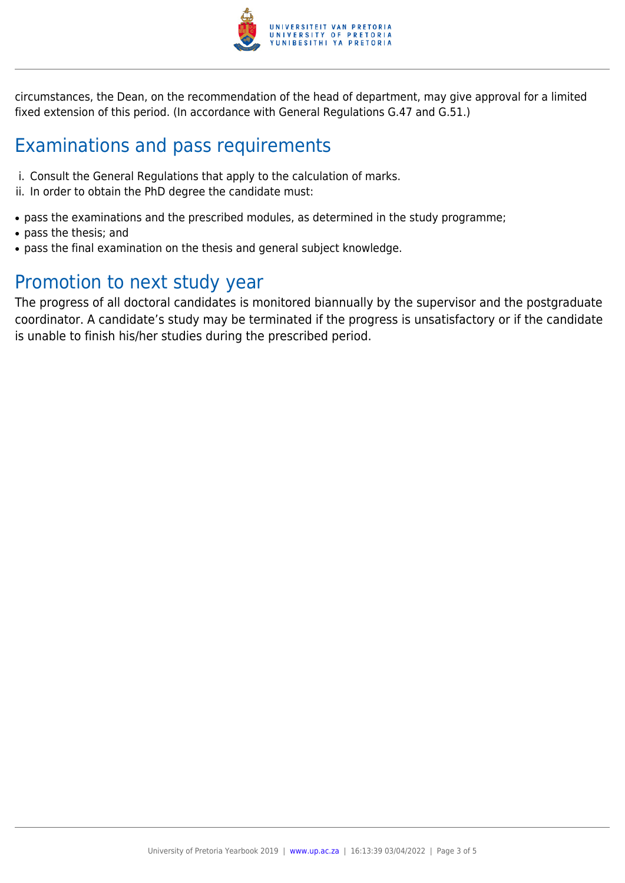

circumstances, the Dean, on the recommendation of the head of department, may give approval for a limited fixed extension of this period. (In accordance with General Regulations G.47 and G.51.)

## Examinations and pass requirements

- i. Consult the General Regulations that apply to the calculation of marks.
- ii. In order to obtain the PhD degree the candidate must:
- pass the examinations and the prescribed modules, as determined in the study programme;
- pass the thesis; and
- pass the final examination on the thesis and general subject knowledge.

### Promotion to next study year

The progress of all doctoral candidates is monitored biannually by the supervisor and the postgraduate coordinator. A candidate's study may be terminated if the progress is unsatisfactory or if the candidate is unable to finish his/her studies during the prescribed period.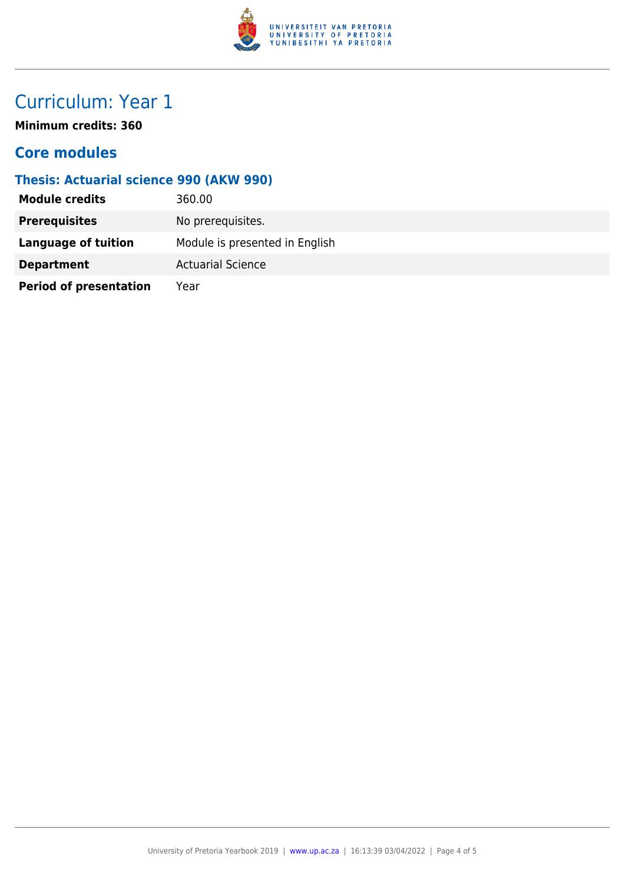

# Curriculum: Year 1

**Minimum credits: 360**

### **Core modules**

#### **Thesis: Actuarial science 990 (AKW 990)**

| <b>Module credits</b>         | 360.00                         |
|-------------------------------|--------------------------------|
| <b>Prerequisites</b>          | No prerequisites.              |
| Language of tuition           | Module is presented in English |
| <b>Department</b>             | <b>Actuarial Science</b>       |
| <b>Period of presentation</b> | Year                           |